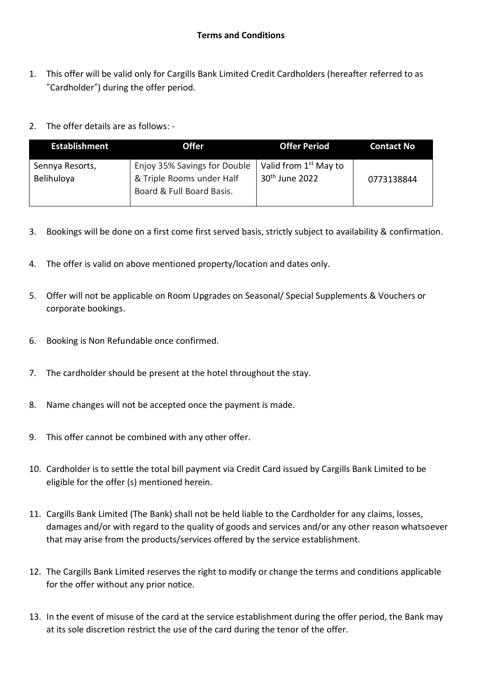- 1. This offer will be valid only for Cargills Bank Limited Credit Cardholders (hereafter referred to as "Cardholder") during the offer period.
- 2. The offer details are as follows: -

| <b>Establishment</b>          | <b>Offer</b>                                                                           | <b>Offer Period</b>                                             | <b>Contact No</b> |
|-------------------------------|----------------------------------------------------------------------------------------|-----------------------------------------------------------------|-------------------|
| Sennya Resorts,<br>Belihuloya | Enjoy 35% Savings for Double<br>& Triple Rooms under Half<br>Board & Full Board Basis. | Valid from 1 <sup>st</sup> May to<br>30 <sup>th</sup> June 2022 | 0773138844        |

- 3. Bookings will be done on a first come first served basis, strictly subject to availability & confirmation.
- 4. The offer is valid on above mentioned property/location and dates only.
- 5. Offer will not be applicable on Room Upgrades on Seasonal/ Special Supplements & Vouchers or corporate bookings.
- 6. Booking is Non Refundable once confirmed.
- 7. The cardholder should be present at the hotel throughout the stay.
- 8. Name changes will not be accepted once the payment is made.
- 9. This offer cannot be combined with any other offer.
- 10. Cardholder is to settle the total bill payment via Credit Card issued by Cargills Bank Limited to be eligible for the offer (s) mentioned herein.
- 11. Cargills Bank Limited (The Bank) shall not be held liable to the Cardholder for any claims, losses, damages and/or with regard to the quality of goods and services and/or any other reason whatsoever that may arise from the products/services offered by the service establishment.
- 12. The Cargills Bank Limited reserves the right to modify or change the terms and conditions applicable for the offer without any prior notice.
- 13. In the event of misuse of the card at the service establishment during the offer period, the Bank may at its sole discretion restrict the use of the card during the tenor of the offer.